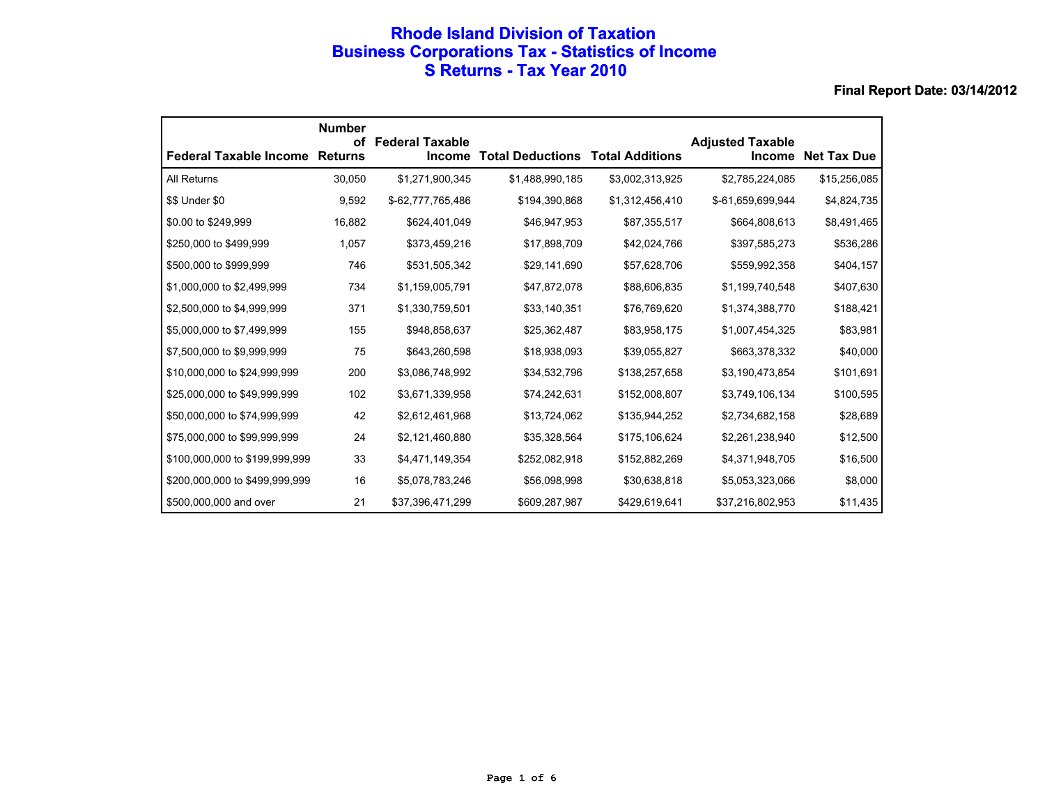### **Rhode Island Division of Taxation Business Corporations Tax - Statistics of Income S Returns - Tax Year 2010**

|                                       | <b>Number</b><br>of | <b>Federal Taxable</b> |                         |                        | <b>Adjusted Taxable</b> |                    |
|---------------------------------------|---------------------|------------------------|-------------------------|------------------------|-------------------------|--------------------|
| <b>Federal Taxable Income Returns</b> |                     | <b>Income</b>          | <b>Total Deductions</b> | <b>Total Additions</b> | <b>Income</b>           | <b>Net Tax Due</b> |
| All Returns                           | 30,050              | \$1,271,900,345        | \$1,488,990,185         | \$3,002,313,925        | \$2,785,224,085         | \$15,256,085       |
| \$\$ Under \$0                        | 9,592               | \$-62,777,765,486      | \$194,390,868           | \$1,312,456,410        | \$-61,659,699,944       | \$4,824,735        |
| \$0.00 to \$249,999                   | 16,882              | \$624,401,049          | \$46,947,953            | \$87,355,517           | \$664,808,613           | \$8,491,465        |
| \$250,000 to \$499,999                | 1,057               | \$373,459,216          | \$17,898,709            | \$42,024,766           | \$397,585,273           | \$536,286          |
| \$500,000 to \$999,999                | 746                 | \$531,505,342          | \$29,141,690            | \$57,628,706           | \$559,992,358           | \$404,157          |
| \$1,000,000 to \$2,499,999            | 734                 | \$1,159,005,791        | \$47,872,078            | \$88,606,835           | \$1,199,740,548         | \$407,630          |
| \$2,500,000 to \$4,999,999            | 371                 | \$1,330,759,501        | \$33,140,351            | \$76,769,620           | \$1,374,388,770         | \$188,421          |
| \$5,000,000 to \$7,499,999            | 155                 | \$948,858,637          | \$25,362,487            | \$83,958,175           | \$1,007,454,325         | \$83,981           |
| \$7,500,000 to \$9,999,999            | 75                  | \$643,260,598          | \$18,938,093            | \$39,055,827           | \$663,378,332           | \$40,000           |
| \$10,000,000 to \$24,999,999          | 200                 | \$3,086,748,992        | \$34,532,796            | \$138,257,658          | \$3,190,473,854         | \$101,691          |
| \$25,000,000 to \$49,999,999          | 102                 | \$3,671,339,958        | \$74,242,631            | \$152,008,807          | \$3,749,106,134         | \$100,595          |
| \$50,000,000 to \$74,999,999          | 42                  | \$2,612,461,968        | \$13,724,062            | \$135,944,252          | \$2,734,682,158         | \$28,689           |
| \$75,000,000 to \$99,999,999          | 24                  | \$2,121,460,880        | \$35,328,564            | \$175,106,624          | \$2,261,238,940         | \$12,500           |
| \$100,000,000 to \$199,999,999        | 33                  | \$4,471,149,354        | \$252,082,918           | \$152,882,269          | \$4,371,948,705         | \$16,500           |
| \$200,000,000 to \$499,999,999        | 16                  | \$5,078,783,246        | \$56,098,998            | \$30,638,818           | \$5,053,323,066         | \$8,000            |
| \$500,000,000 and over                | 21                  | \$37,396,471,299       | \$609,287,987           | \$429,619,641          | \$37,216,802,953        | \$11,435           |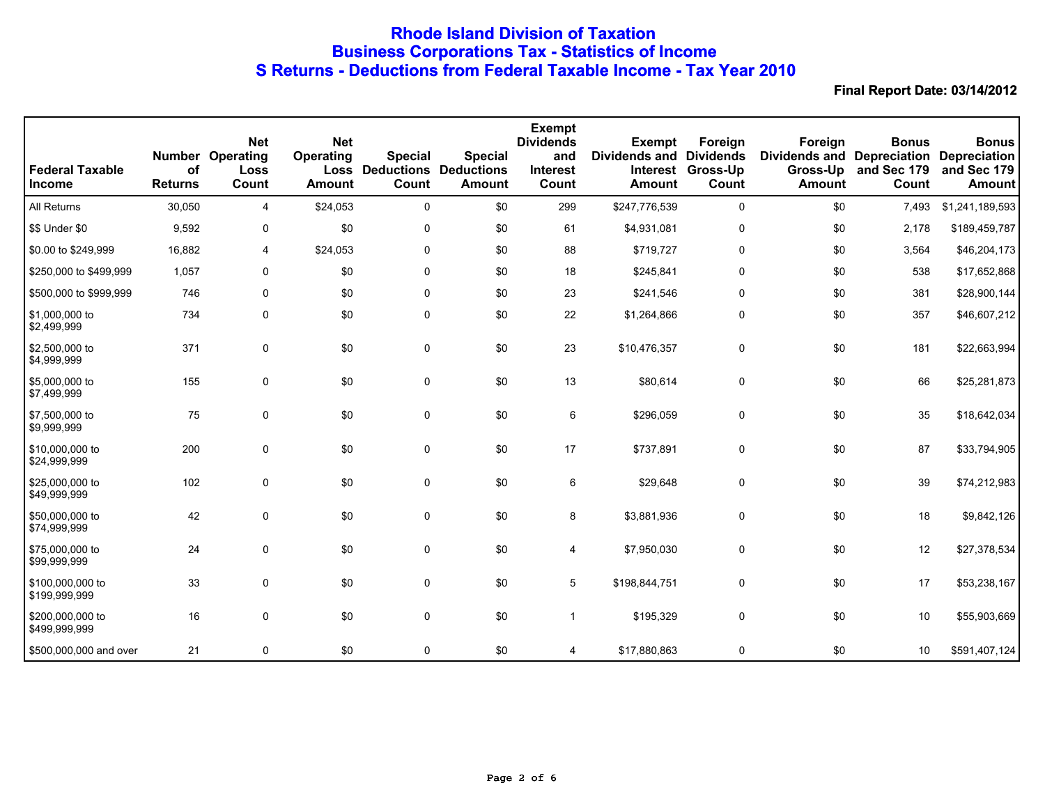# **Rhode Island Division of Taxation Business Corporations Tax - Statistics of Income S Returns - Deductions from Federal Taxable Income - Tax Year 2010**

| <b>Federal Taxable</b><br><b>Income</b> | of<br><b>Returns</b> | <b>Net</b><br><b>Number Operating</b><br>Loss<br>Count | <b>Net</b><br>Operating<br>Loss<br><b>Amount</b> | <b>Special</b><br><b>Deductions Deductions</b><br>Count | <b>Special</b><br><b>Amount</b> | <b>Exempt</b><br><b>Dividends</b><br>and<br><b>Interest</b><br>Count | <b>Exempt</b><br>Dividends and<br><b>Interest</b><br><b>Amount</b> | Foreign<br><b>Dividends</b><br>Gross-Up<br>Count | Foreign<br><b>Dividends and Depreciation</b><br>Gross-Up<br><b>Amount</b> | <b>Bonus</b><br>and Sec 179<br>Count | <b>Bonus</b><br><b>Depreciation</b><br>and Sec 179<br><b>Amount</b> |
|-----------------------------------------|----------------------|--------------------------------------------------------|--------------------------------------------------|---------------------------------------------------------|---------------------------------|----------------------------------------------------------------------|--------------------------------------------------------------------|--------------------------------------------------|---------------------------------------------------------------------------|--------------------------------------|---------------------------------------------------------------------|
| All Returns                             | 30,050               | 4                                                      | \$24,053                                         | 0                                                       | \$0                             | 299                                                                  | \$247,776,539                                                      | 0                                                | \$0                                                                       | 7,493                                | \$1,241,189,593                                                     |
| \$\$ Under \$0                          | 9,592                | 0                                                      | \$0                                              | 0                                                       | \$0                             | 61                                                                   | \$4,931,081                                                        | $\mathbf 0$                                      | \$0                                                                       | 2,178                                | \$189,459,787                                                       |
| \$0.00 to \$249,999                     | 16,882               | 4                                                      | \$24,053                                         | 0                                                       | \$0                             | 88                                                                   | \$719,727                                                          | 0                                                | \$0                                                                       | 3,564                                | \$46,204,173                                                        |
| \$250,000 to \$499,999                  | 1,057                | 0                                                      | \$0                                              | 0                                                       | \$0                             | 18                                                                   | \$245,841                                                          | $\pmb{0}$                                        | \$0                                                                       | 538                                  | \$17,652,868                                                        |
| \$500,000 to \$999,999                  | 746                  | 0                                                      | \$0                                              | 0                                                       | \$0                             | 23                                                                   | \$241,546                                                          | 0                                                | \$0                                                                       | 381                                  | \$28,900,144                                                        |
| \$1,000,000 to<br>\$2,499,999           | 734                  | 0                                                      | \$0                                              | 0                                                       | \$0                             | 22                                                                   | \$1,264,866                                                        | $\pmb{0}$                                        | \$0                                                                       | 357                                  | \$46,607,212                                                        |
| \$2,500,000 to<br>\$4,999,999           | 371                  | 0                                                      | \$0                                              | 0                                                       | \$0                             | 23                                                                   | \$10,476,357                                                       | 0                                                | \$0                                                                       | 181                                  | \$22,663,994                                                        |
| \$5,000,000 to<br>\$7,499,999           | 155                  | 0                                                      | \$0                                              | 0                                                       | \$0                             | 13                                                                   | \$80,614                                                           | $\mathbf 0$                                      | \$0                                                                       | 66                                   | \$25,281,873                                                        |
| \$7,500,000 to<br>\$9,999,999           | 75                   | 0                                                      | \$0                                              | 0                                                       | \$0                             | 6                                                                    | \$296,059                                                          | 0                                                | \$0                                                                       | 35                                   | \$18,642,034                                                        |
| \$10,000,000 to<br>\$24,999,999         | 200                  | 0                                                      | \$0                                              | 0                                                       | \$0                             | 17                                                                   | \$737,891                                                          | 0                                                | \$0                                                                       | 87                                   | \$33,794,905                                                        |
| \$25,000,000 to<br>\$49,999,999         | 102                  | 0                                                      | \$0                                              | 0                                                       | \$0                             | $\,6$                                                                | \$29,648                                                           | 0                                                | \$0                                                                       | 39                                   | \$74,212,983                                                        |
| \$50,000,000 to<br>\$74,999,999         | 42                   | 0                                                      | \$0                                              | 0                                                       | \$0                             | 8                                                                    | \$3,881,936                                                        | 0                                                | \$0                                                                       | 18                                   | \$9,842,126                                                         |
| \$75,000,000 to<br>\$99,999,999         | 24                   | 0                                                      | \$0                                              | 0                                                       | \$0                             | 4                                                                    | \$7,950,030                                                        | 0                                                | \$0                                                                       | 12                                   | \$27,378,534                                                        |
| \$100,000,000 to<br>\$199,999,999       | 33                   | 0                                                      | \$0                                              | 0                                                       | \$0                             | 5                                                                    | \$198,844,751                                                      | $\mathbf 0$                                      | \$0                                                                       | 17                                   | \$53,238,167                                                        |
| \$200,000,000 to<br>\$499,999,999       | 16                   | 0                                                      | \$0                                              | 0                                                       | \$0                             | $\overline{1}$                                                       | \$195,329                                                          | 0                                                | \$0                                                                       | 10                                   | \$55,903,669                                                        |
| \$500,000,000 and over                  | 21                   | 0                                                      | \$0                                              | 0                                                       | \$0                             | 4                                                                    | \$17,880,863                                                       | 0                                                | \$0                                                                       | 10                                   | \$591,407,124                                                       |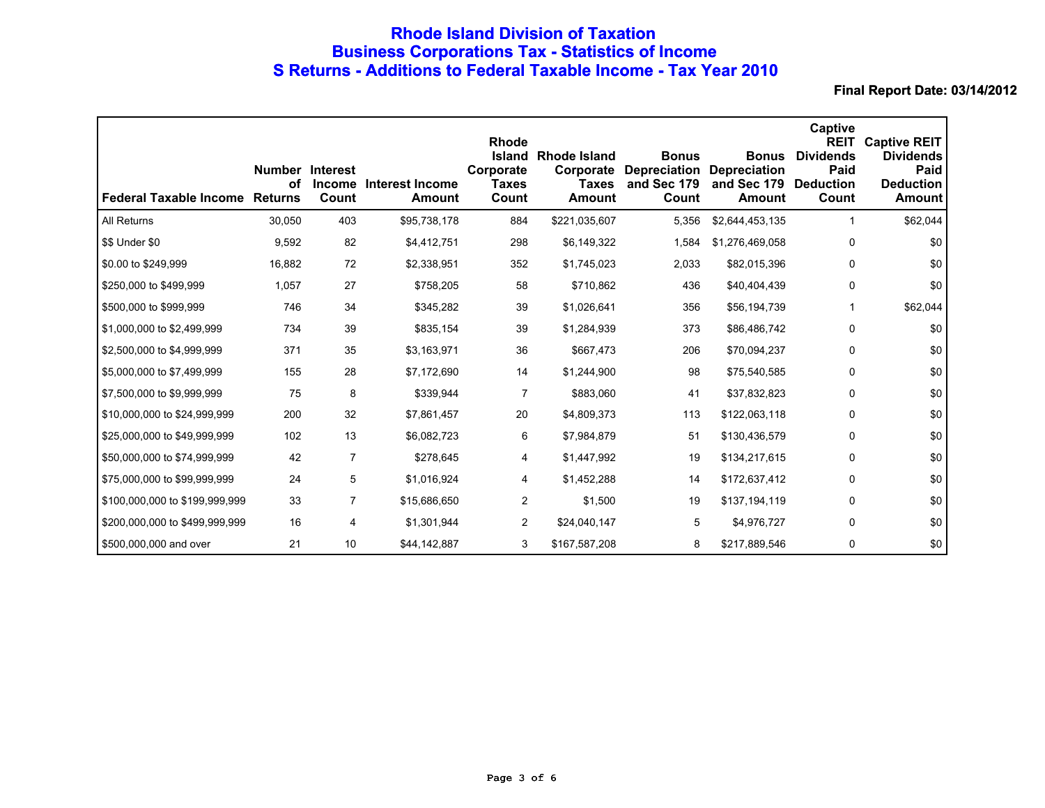## **Rhode Island Division of Taxation Business Corporations Tax - Statistics of Income S Returns - Additions to Federal Taxable Income - Tax Year 2010**

| <b>Federal Taxable Income</b>  | <b>Number Interest</b><br>of<br><b>Returns</b> | <b>Income</b><br>Count | Interest Income<br><b>Amount</b> | <b>Rhode</b><br><b>Island</b><br>Corporate<br><b>Taxes</b><br>Count | <b>Rhode Island</b><br><b>Taxes</b><br>Amount | <b>Bonus</b><br>Corporate Depreciation<br>and Sec 179<br>Count | <b>Bonus</b><br><b>Depreciation</b><br>and Sec 179<br><b>Amount</b> | Captive<br><b>REIT</b><br><b>Dividends</b><br>Paid<br><b>Deduction</b><br>Count | <b>Captive REIT</b><br><b>Dividends</b><br>Paid<br><b>Deduction</b><br>Amount |
|--------------------------------|------------------------------------------------|------------------------|----------------------------------|---------------------------------------------------------------------|-----------------------------------------------|----------------------------------------------------------------|---------------------------------------------------------------------|---------------------------------------------------------------------------------|-------------------------------------------------------------------------------|
| All Returns                    | 30,050                                         | 403                    | \$95,738,178                     | 884                                                                 | \$221,035,607                                 | 5,356                                                          | \$2,644,453,135                                                     | 1                                                                               | \$62,044                                                                      |
| \$\$ Under \$0                 | 9,592                                          | 82                     | \$4,412,751                      | 298                                                                 | \$6,149,322                                   | 1,584                                                          | \$1,276,469,058                                                     | 0                                                                               | \$0                                                                           |
| \$0.00 to \$249,999            | 16,882                                         | 72                     | \$2,338,951                      | 352                                                                 | \$1,745,023                                   | 2,033                                                          | \$82,015,396                                                        | 0                                                                               | \$0                                                                           |
| \$250,000 to \$499,999         | 1,057                                          | 27                     | \$758,205                        | 58                                                                  | \$710,862                                     | 436                                                            | \$40,404,439                                                        | 0                                                                               | \$0                                                                           |
| \$500,000 to \$999,999         | 746                                            | 34                     | \$345,282                        | 39                                                                  | \$1,026,641                                   | 356                                                            | \$56,194,739                                                        | 1                                                                               | \$62,044                                                                      |
| \$1,000,000 to \$2,499,999     | 734                                            | 39                     | \$835,154                        | 39                                                                  | \$1,284,939                                   | 373                                                            | \$86,486,742                                                        | 0                                                                               | \$0                                                                           |
| \$2,500,000 to \$4,999,999     | 371                                            | 35                     | \$3,163,971                      | 36                                                                  | \$667,473                                     | 206                                                            | \$70,094,237                                                        | 0                                                                               | \$0                                                                           |
| \$5,000,000 to \$7,499,999     | 155                                            | 28                     | \$7,172,690                      | 14                                                                  | \$1,244,900                                   | 98                                                             | \$75,540,585                                                        | 0                                                                               | \$0                                                                           |
| \$7,500,000 to \$9,999,999     | 75                                             | 8                      | \$339,944                        | 7                                                                   | \$883,060                                     | 41                                                             | \$37,832,823                                                        | 0                                                                               | \$0                                                                           |
| \$10,000,000 to \$24,999,999   | 200                                            | 32                     | \$7,861,457                      | 20                                                                  | \$4,809,373                                   | 113                                                            | \$122,063,118                                                       | 0                                                                               | \$0                                                                           |
| \$25,000,000 to \$49,999,999   | 102                                            | 13                     | \$6,082,723                      | 6                                                                   | \$7,984,879                                   | 51                                                             | \$130,436,579                                                       | 0                                                                               | \$0                                                                           |
| \$50,000,000 to \$74,999,999   | 42                                             | 7                      | \$278,645                        | 4                                                                   | \$1,447,992                                   | 19                                                             | \$134,217,615                                                       | 0                                                                               | \$0                                                                           |
| \$75,000,000 to \$99,999,999   | 24                                             | 5                      | \$1,016,924                      | 4                                                                   | \$1,452,288                                   | 14                                                             | \$172,637,412                                                       | 0                                                                               | \$0                                                                           |
| \$100,000,000 to \$199,999,999 | 33                                             | $\overline{7}$         | \$15,686,650                     | 2                                                                   | \$1,500                                       | 19                                                             | \$137,194,119                                                       | 0                                                                               | \$0                                                                           |
| \$200,000,000 to \$499,999,999 | 16                                             | 4                      | \$1,301,944                      | $\overline{2}$                                                      | \$24,040,147                                  | 5                                                              | \$4,976,727                                                         | 0                                                                               | \$0                                                                           |
| \$500,000,000 and over         | 21                                             | 10                     | \$44,142,887                     | 3                                                                   | \$167,587,208                                 | 8                                                              | \$217,889,546                                                       | 0                                                                               | \$0                                                                           |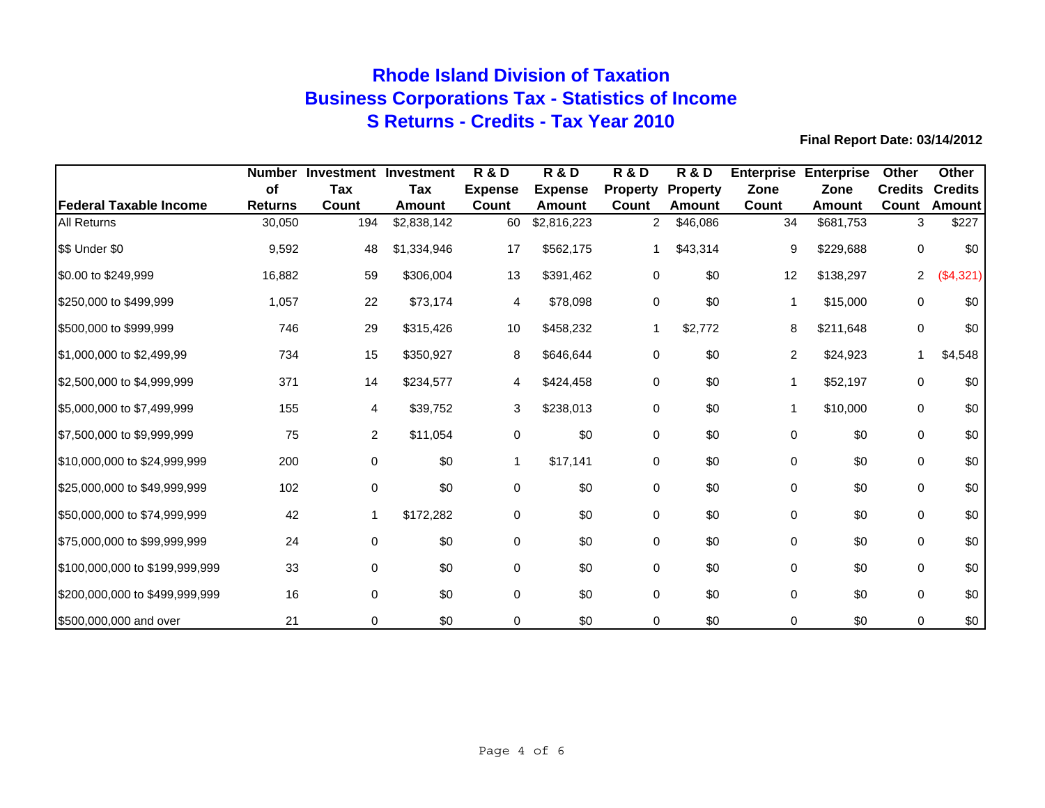# **Rhode Island Division of TaxationBusiness Corporations Tax - Statistics of Income S Returns - Credits - Tax Year 2010**

|                                | <b>Number</b>  |                          | Investment Investment | <b>R &amp; D</b> | <b>R&amp;D</b> | <b>R&amp;D</b>  | <b>R &amp; D</b> |                | <b>Enterprise Enterprise</b> | Other          | Other          |
|--------------------------------|----------------|--------------------------|-----------------------|------------------|----------------|-----------------|------------------|----------------|------------------------------|----------------|----------------|
|                                | of             | <b>Tax</b>               | Tax                   | <b>Expense</b>   | <b>Expense</b> | <b>Property</b> | <b>Property</b>  | Zone           | Zone                         | <b>Credits</b> | <b>Credits</b> |
| <b>Federal Taxable Income</b>  | <b>Returns</b> | Count                    | Amount                | Count            | Amount         | Count           | <b>Amount</b>    | Count          | Amount                       | Count          | Amount         |
| <b>All Returns</b>             | 30,050         | 194                      | \$2,838,142           | 60               | \$2,816,223    | $\overline{2}$  | \$46,086         | 34             | \$681,753                    | 3              | \$227          |
| \$\$ Under \$0                 | 9,592          | 48                       | \$1,334,946           | 17               | \$562,175      | 1               | \$43,314         | 9              | \$229,688                    | 0              | \$0            |
| \$0.00 to \$249,999            | 16,882         | 59                       | \$306,004             | 13               | \$391,462      | 0               | \$0              | 12             | \$138,297                    | $\overline{a}$ | (\$4,321)      |
| \$250,000 to \$499,999         | 1,057          | 22                       | \$73,174              | 4                | \$78,098       | $\mathbf 0$     | \$0              | 1              | \$15,000                     | $\mathbf 0$    | \$0            |
| \$500,000 to \$999,999         | 746            | 29                       | \$315,426             | 10               | \$458,232      | 1               | \$2,772          | 8              | \$211,648                    | 0              | \$0            |
| \$1,000,000 to \$2,499,99      | 734            | 15                       | \$350,927             | 8                | \$646,644      | 0               | \$0              | $\overline{2}$ | \$24,923                     |                | \$4,548        |
| \$2,500,000 to \$4,999,999     | 371            | 14                       | \$234,577             | 4                | \$424,458      | 0               | \$0              |                | \$52,197                     | $\mathbf 0$    | \$0            |
| \$5,000,000 to \$7,499,999     | 155            | 4                        | \$39,752              | 3                | \$238,013      | 0               | \$0              | 1              | \$10,000                     | $\mathbf 0$    | \$0            |
| \$7,500,000 to \$9,999,999     | 75             | $\overline{2}$           | \$11,054              | 0                | \$0            | 0               | \$0              | 0              | \$0                          | 0              | \$0            |
| \$10,000,000 to \$24,999,999   | 200            | $\mathbf 0$              | \$0                   | 1                | \$17,141       | 0               | \$0              | 0              | \$0                          | $\mathbf 0$    | \$0            |
| \$25,000,000 to \$49,999,999   | 102            | 0                        | \$0                   | 0                | \$0            | 0               | \$0              | 0              | \$0                          | $\mathbf 0$    | \$0            |
| \$50,000,000 to \$74,999,999   | 42             | $\overline{\phantom{a}}$ | \$172,282             | 0                | \$0            | 0               | \$0              | 0              | \$0                          | $\mathbf 0$    | \$0            |
| \$75,000,000 to \$99,999,999   | 24             | 0                        | \$0                   | 0                | \$0            | 0               | \$0              | 0              | \$0                          | $\mathsf 0$    | \$0            |
| \$100,000,000 to \$199,999,999 | 33             | $\Omega$                 | \$0                   | 0                | \$0            | 0               | \$0              | 0              | \$0                          | $\mathbf 0$    | \$0            |
| \$200,000,000 to \$499,999,999 | 16             | 0                        | \$0                   | 0                | \$0            | 0               | \$0              | 0              | \$0                          | $\mathbf 0$    | \$0            |
| \$500,000,000 and over         | 21             | 0                        | \$0                   | 0                | \$0            | 0               | \$0              | 0              | \$0                          | 0              | \$0            |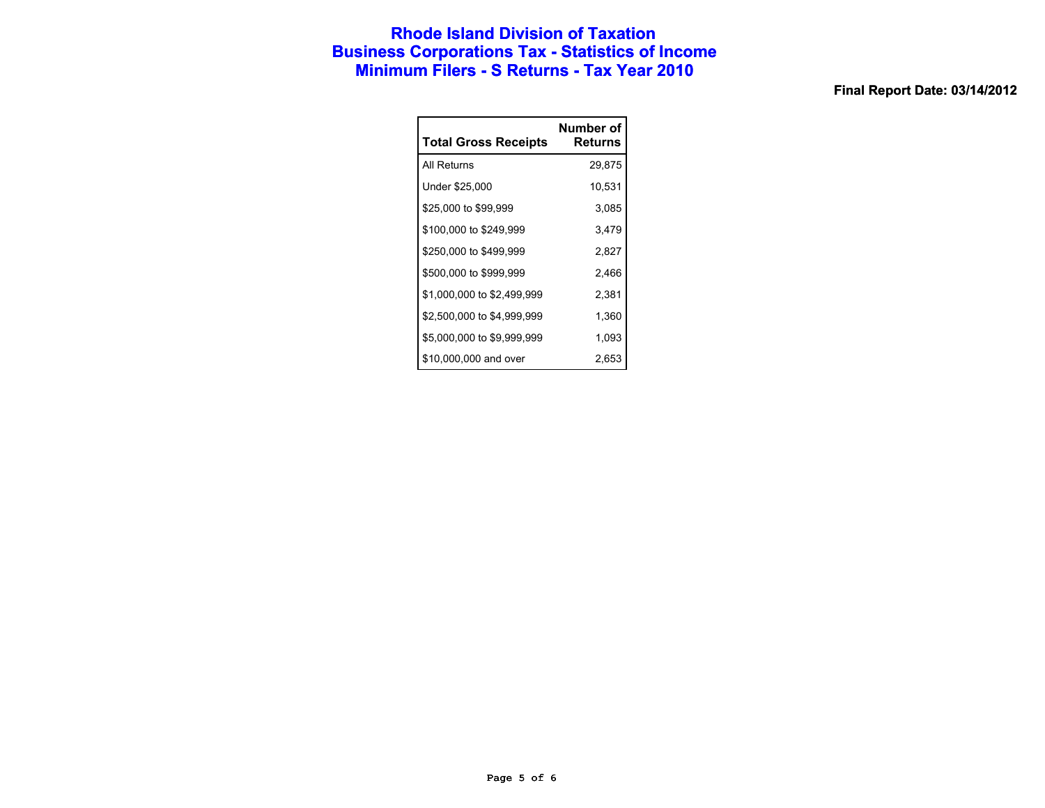### **Rhode Island Division of Taxation Business Corporations Tax - Statistics of Income Minimum Filers - S Returns - Tax Year 2010**

| <b>Total Gross Receipts</b> | Number of<br>Returns |
|-----------------------------|----------------------|
| All Returns                 | 29,875               |
| Under \$25,000              | 10,531               |
| \$25,000 to \$99,999        | 3.085                |
| \$100,000 to \$249,999      | 3,479                |
| \$250,000 to \$499,999      | 2,827                |
| \$500,000 to \$999,999      | 2,466                |
| \$1,000,000 to \$2,499,999  | 2,381                |
| \$2,500,000 to \$4,999,999  | 1,360                |
| \$5,000,000 to \$9,999,999  | 1,093                |
| \$10,000,000 and over       | 2,653                |